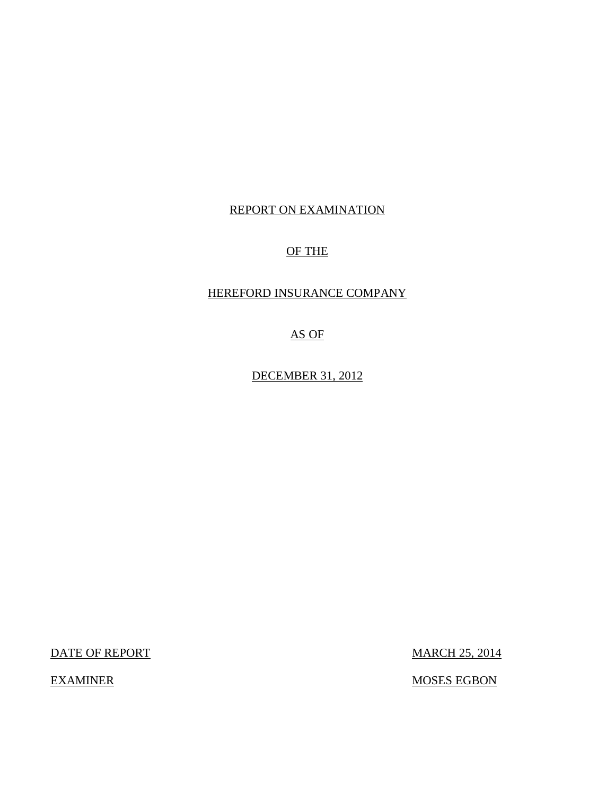# REPORT ON EXAMINATION

# OF THE

# HEREFORD INSURANCE COMPANY

AS OF

DECEMBER 31, 2012

DATE OF REPORT MARCH 25, 2014

EXAMINER MOSES EGBON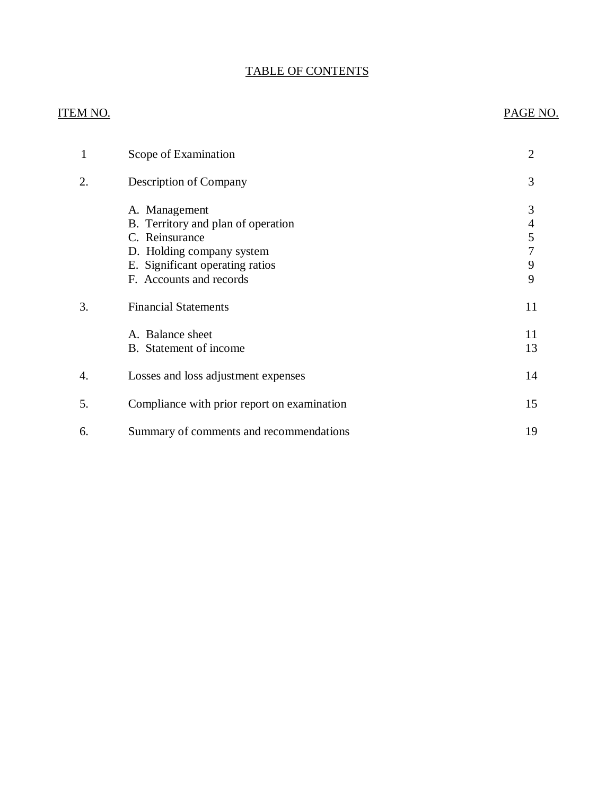# TABLE OF CONTENTS

# ITEM NO. PAGE NO.

| 1  | Scope of Examination                                                                                                                                             | $\overline{2}$        |
|----|------------------------------------------------------------------------------------------------------------------------------------------------------------------|-----------------------|
| 2. | Description of Company                                                                                                                                           | 3                     |
|    | A. Management<br>B. Territory and plan of operation<br>C. Reinsurance<br>D. Holding company system<br>E. Significant operating ratios<br>F. Accounts and records | 3<br>4<br>5<br>9<br>9 |
| 3. | <b>Financial Statements</b>                                                                                                                                      | 11                    |
|    | A. Balance sheet<br>B. Statement of income                                                                                                                       | 11<br>13              |
| 4. | Losses and loss adjustment expenses                                                                                                                              | 14                    |
| 5. | Compliance with prior report on examination                                                                                                                      | 15                    |
| 6. | Summary of comments and recommendations                                                                                                                          | 19                    |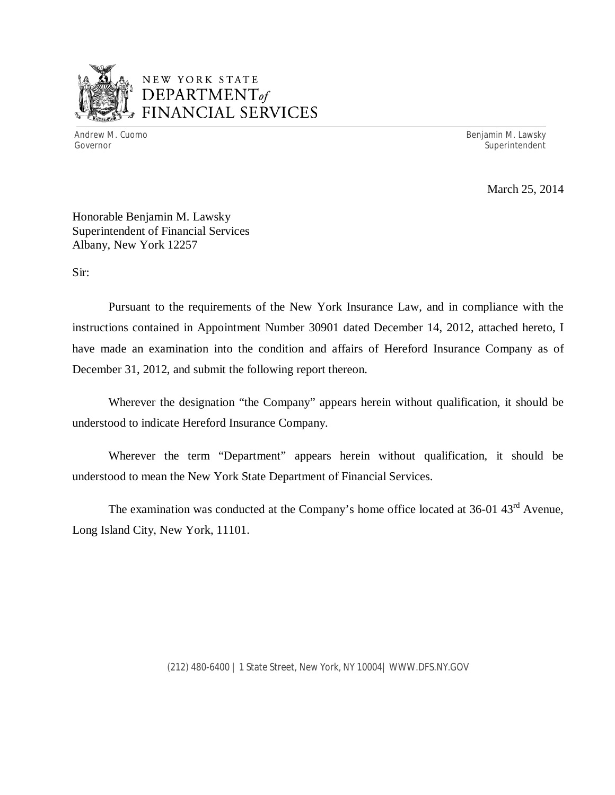

# NEW YORK STATE *DEPARTMENTof*  FINANCIAL SERVICES

Andrew M. Cuomo **Benjamin M. Lawsky** Governor Superintendent Superintendent Superintendent Superintendent Superintendent Superintendent Superintendent

March 25, 2014

Honorable Benjamin M. Lawsky Superintendent of Financial Services Albany, New York 12257

Sir:

Pursuant to the requirements of the New York Insurance Law, and in compliance with the instructions contained in Appointment Number 30901 dated December 14, 2012, attached hereto, I have made an examination into the condition and affairs of Hereford Insurance Company as of December 31, 2012, and submit the following report thereon.

Wherever the designation "the Company" appears herein without qualification, it should be understood to indicate Hereford Insurance Company.

Wherever the term "Department" appears herein without qualification, it should be understood to mean the New York State Department of Financial Services.

The examination was conducted at the Company's home office located at 36-01 43<sup>rd</sup> Avenue, Long Island City, New York, 11101.

(212) 480-6400 | 1 State Street, New York, NY 10004| <WWW.DFS.NY.GOV>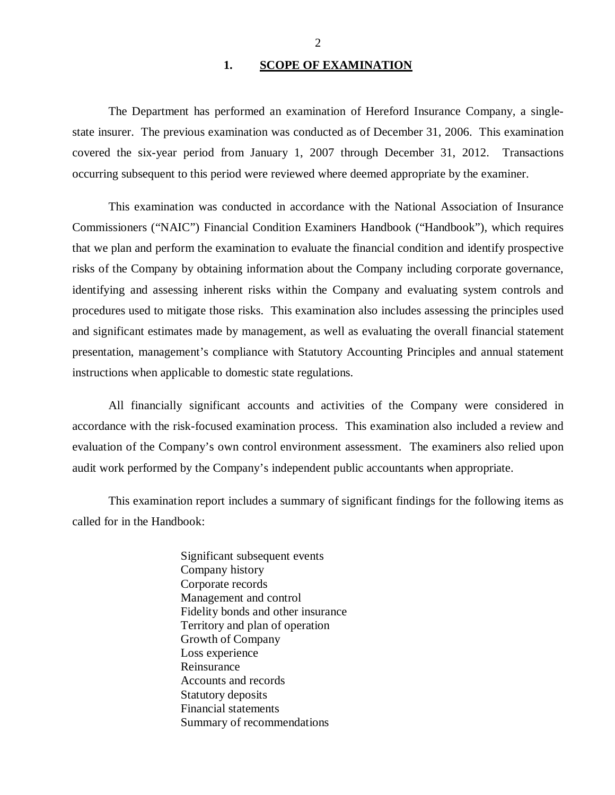## 1. **SCOPE OF EXAMINATION**

<span id="page-3-0"></span>The Department has performed an examination of Hereford Insurance Company*,* a singlestate insurer. The previous examination was conducted as of December 31, 2006. This examination covered the six-year period from January 1, 2007 through December 31, 2012. Transactions occurring subsequent to this period were reviewed where deemed appropriate by the examiner.

This examination was conducted in accordance with the National Association of Insurance Commissioners ("NAIC") Financial Condition Examiners Handbook ("Handbook"), which requires that we plan and perform the examination to evaluate the financial condition and identify prospective risks of the Company by obtaining information about the Company including corporate governance, identifying and assessing inherent risks within the Company and evaluating system controls and procedures used to mitigate those risks. This examination also includes assessing the principles used and significant estimates made by management, as well as evaluating the overall financial statement presentation, management's compliance with Statutory Accounting Principles and annual statement instructions when applicable to domestic state regulations.

All financially significant accounts and activities of the Company were considered in accordance with the risk-focused examination process. This examination also included a review and evaluation of the Company's own control environment assessment. The examiners also relied upon audit work performed by the Company's independent public accountants when appropriate.

This examination report includes a summary of significant findings for the following items as called for in the Handbook:

> Significant subsequent events Company history Corporate records Management and control Fidelity bonds and other insurance Territory and plan of operation Growth of Company Loss experience Reinsurance Accounts and records Statutory deposits Financial statements Summary of recommendations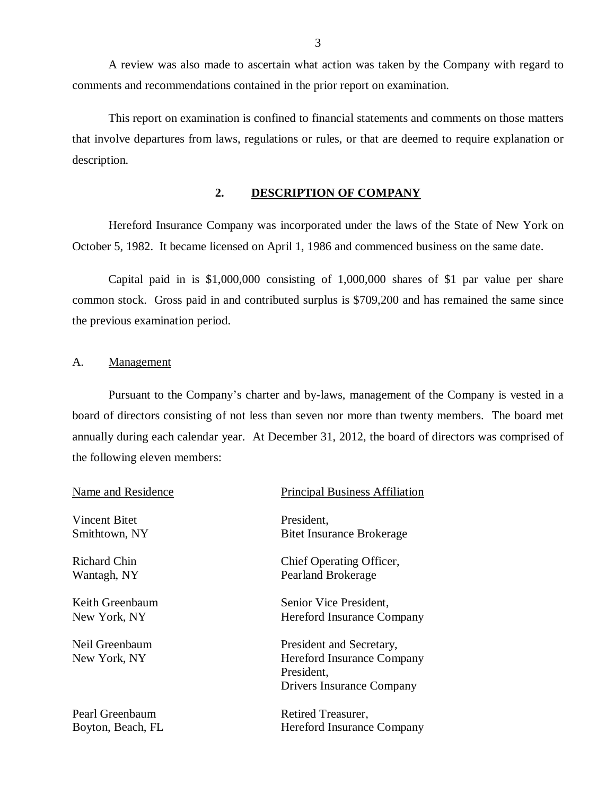<span id="page-4-0"></span>A review was also made to ascertain what action was taken by the Company with regard to comments and recommendations contained in the prior report on examination.

This report on examination is confined to financial statements and comments on those matters that involve departures from laws, regulations or rules, or that are deemed to require explanation or description.

## **2. DESCRIPTION OF COMPANY**

Hereford Insurance Company was incorporated under the laws of the State of New York on October 5, 1982. It became licensed on April 1, 1986 and commenced business on the same date.

Capital paid in is \$1,000,000 consisting of 1,000,000 shares of \$1 par value per share common stock. Gross paid in and contributed surplus is \$709,200 and has remained the same since the previous examination period.

## A. Management

Pursuant to the Company's charter and by-laws, management of the Company is vested in a board of directors consisting of not less than seven nor more than twenty members. The board met annually during each calendar year. At December 31, 2012, the board of directors was comprised of the following eleven members:

| Name and Residence | <b>Principal Business Affiliation</b> |
|--------------------|---------------------------------------|
| Vincent Bitet      | President,                            |
| Smithtown, NY      | <b>Bitet Insurance Brokerage</b>      |
| Richard Chin       | Chief Operating Officer,              |
| Wantagh, NY        | Pearland Brokerage                    |
| Keith Greenbaum    | Senior Vice President,                |
| New York, NY       | Hereford Insurance Company            |
| Neil Greenbaum     | President and Secretary,              |
| New York, NY       | Hereford Insurance Company            |
|                    | President,                            |
|                    | Drivers Insurance Company             |
| Pearl Greenbaum    | Retired Treasurer,                    |

Boyton, Beach, FL Hereford Insurance Company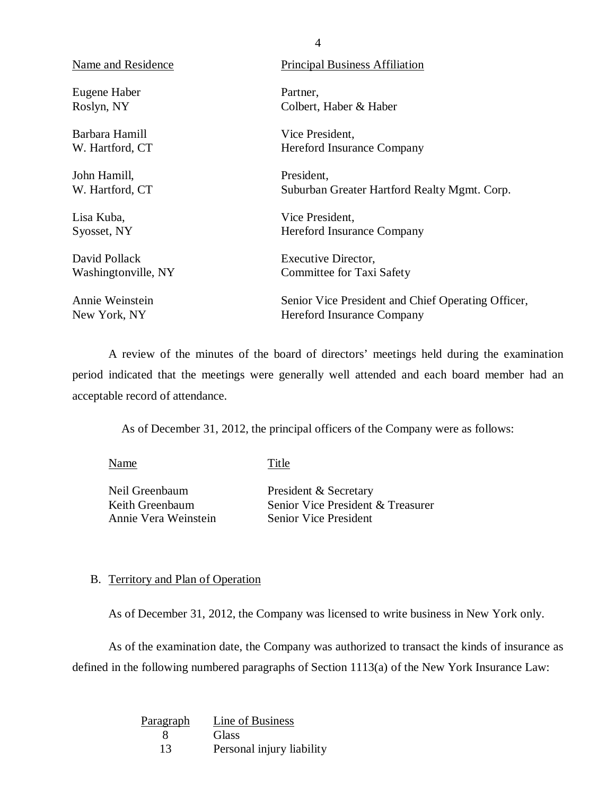| Name and Residence  | <b>Principal Business Affiliation</b>              |
|---------------------|----------------------------------------------------|
| Eugene Haber        | Partner,                                           |
| Roslyn, NY          | Colbert, Haber & Haber                             |
| Barbara Hamill      | Vice President,                                    |
| W. Hartford, CT     | <b>Hereford Insurance Company</b>                  |
| John Hamill,        | President,                                         |
| W. Hartford, CT     | Suburban Greater Hartford Realty Mgmt. Corp.       |
| Lisa Kuba,          | Vice President,                                    |
| Syosset, NY         | <b>Hereford Insurance Company</b>                  |
| David Pollack       | Executive Director,                                |
| Washingtonville, NY | Committee for Taxi Safety                          |
| Annie Weinstein     | Senior Vice President and Chief Operating Officer, |
| New York, NY        | Hereford Insurance Company                         |

4

A review of the minutes of the board of directors' meetings held during the examination period indicated that the meetings were generally well attended and each board member had an acceptable record of attendance.

As of December 31, 2012, the principal officers of the Company were as follows:

Name Title

Neil Greenbaum Keith Greenbaum Annie Vera Weinstein President & Secretary Senior Vice President & Treasurer Senior Vice President

# B. Territory and Plan of Operation

As of December 31, 2012, the Company was licensed to write business in New York only.

As of the examination date, the Company was authorized to transact the kinds of insurance as defined in the following numbered paragraphs of Section 1113(a) of the New York Insurance Law:

| Paragraph | Line of Business          |
|-----------|---------------------------|
|           | Glass                     |
| 13        | Personal injury liability |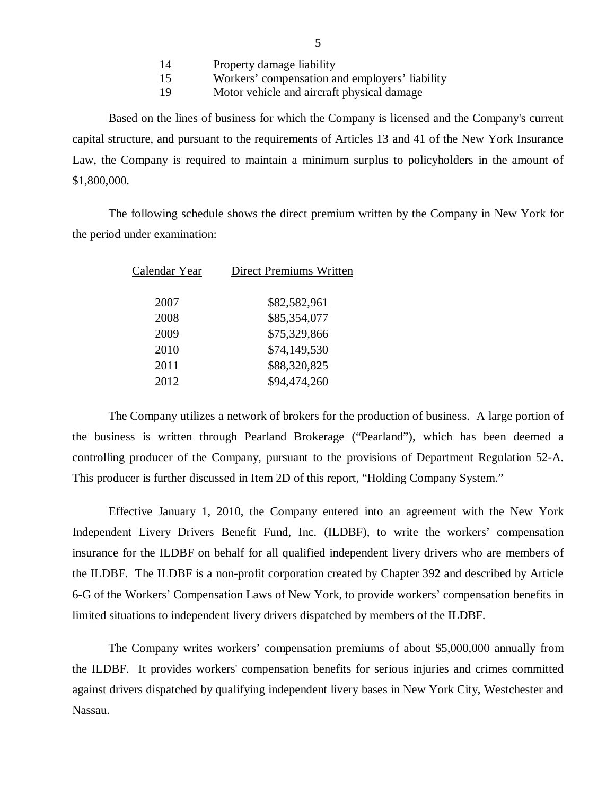| 14 | Property damage liability                      |
|----|------------------------------------------------|
| 15 | Workers' compensation and employers' liability |
| 19 | Motor vehicle and aircraft physical damage     |

<span id="page-6-0"></span>Based on the lines of business for which the Company is licensed and the Company's current capital structure, and pursuant to the requirements of Articles 13 and 41 of the New York Insurance Law, the Company is required to maintain a minimum surplus to policyholders in the amount of \$1,800,000.

The following schedule shows the direct premium written by the Company in New York for the period under examination:

| Calendar Year | <b>Direct Premiums Written</b> |
|---------------|--------------------------------|
| 2007          | \$82,582,961                   |
| 2008          | \$85,354,077                   |
| 2009          | \$75,329,866                   |
| 2010          | \$74,149,530                   |
| 2011          | \$88,320,825                   |
| 2012          | \$94,474,260                   |
|               |                                |

The Company utilizes a network of brokers for the production of business. A large portion of the business is written through Pearland Brokerage ("Pearland"), which has been deemed a controlling producer of the Company, pursuant to the provisions of Department Regulation 52-A. This producer is further discussed in Item 2D of this report, "Holding Company System."

Effective January 1, 2010, the Company entered into an agreement with the New York Independent Livery Drivers Benefit Fund, Inc. (ILDBF), to write the workers' compensation insurance for the ILDBF on behalf for all qualified independent livery drivers who are members of the ILDBF. The ILDBF is a non-profit corporation created by Chapter 392 and described by Article 6-G of the Workers' Compensation Laws of New York, to provide workers' compensation benefits in limited situations to independent livery drivers dispatched by members of the ILDBF.

The Company writes workers' compensation premiums of about \$5,000,000 annually from the ILDBF. It provides workers' compensation benefits for serious injuries and crimes committed against drivers dispatched by qualifying independent livery bases in New York City, Westchester and Nassau.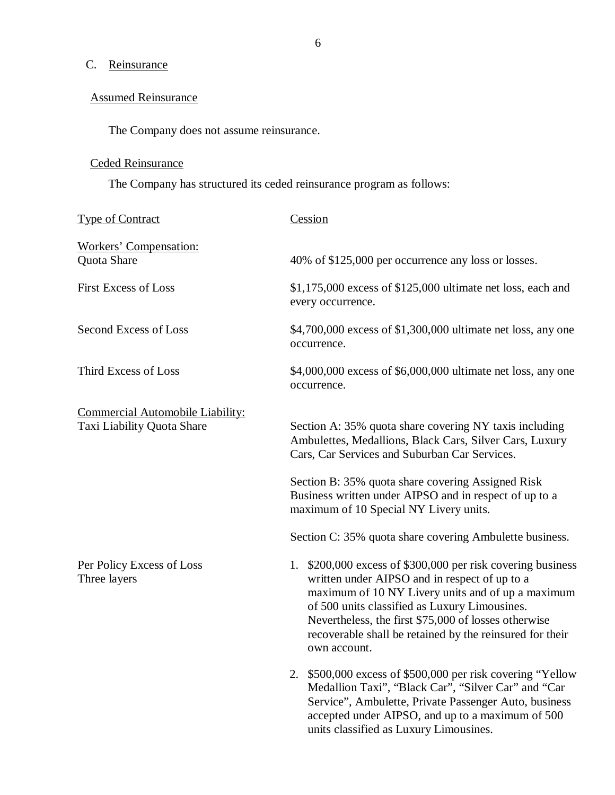# C. Reinsurance

# Assumed Reinsurance

The Company does not assume reinsurance.

# Ceded Reinsurance

The Company has structured its ceded reinsurance program as follows:

| <b>Type of Contract</b>                                        | Cession                                                                                                                                                                                                                                                                                                                                                                                |
|----------------------------------------------------------------|----------------------------------------------------------------------------------------------------------------------------------------------------------------------------------------------------------------------------------------------------------------------------------------------------------------------------------------------------------------------------------------|
| <b>Workers' Compensation:</b><br>Quota Share                   | 40% of \$125,000 per occurrence any loss or losses.                                                                                                                                                                                                                                                                                                                                    |
| <b>First Excess of Loss</b>                                    | $$1,175,000$ excess of $$125,000$ ultimate net loss, each and<br>every occurrence.                                                                                                                                                                                                                                                                                                     |
| Second Excess of Loss                                          | \$4,700,000 excess of \$1,300,000 ultimate net loss, any one<br>occurrence.                                                                                                                                                                                                                                                                                                            |
| Third Excess of Loss                                           | \$4,000,000 excess of \$6,000,000 ultimate net loss, any one<br>occurrence.                                                                                                                                                                                                                                                                                                            |
| Commercial Automobile Liability:<br>Taxi Liability Quota Share | Section A: 35% quota share covering NY taxis including<br>Ambulettes, Medallions, Black Cars, Silver Cars, Luxury<br>Cars, Car Services and Suburban Car Services.<br>Section B: 35% quota share covering Assigned Risk<br>Business written under AIPSO and in respect of up to a<br>maximum of 10 Special NY Livery units.<br>Section C: 35% quota share covering Ambulette business. |
| Per Policy Excess of Loss<br>Three layers                      | 1. \$200,000 excess of \$300,000 per risk covering business<br>written under AIPSO and in respect of up to a<br>maximum of 10 NY Livery units and of up a maximum<br>of 500 units classified as Luxury Limousines.<br>Nevertheless, the first \$75,000 of losses otherwise<br>recoverable shall be retained by the reinsured for their<br>own account.                                 |
|                                                                | 2. \$500,000 excess of \$500,000 per risk covering "Yellow"<br>Medallion Taxi", "Black Car", "Silver Car" and "Car<br>Service", Ambulette, Private Passenger Auto, business<br>accepted under AIPSO, and up to a maximum of 500<br>units classified as Luxury Limousines.                                                                                                              |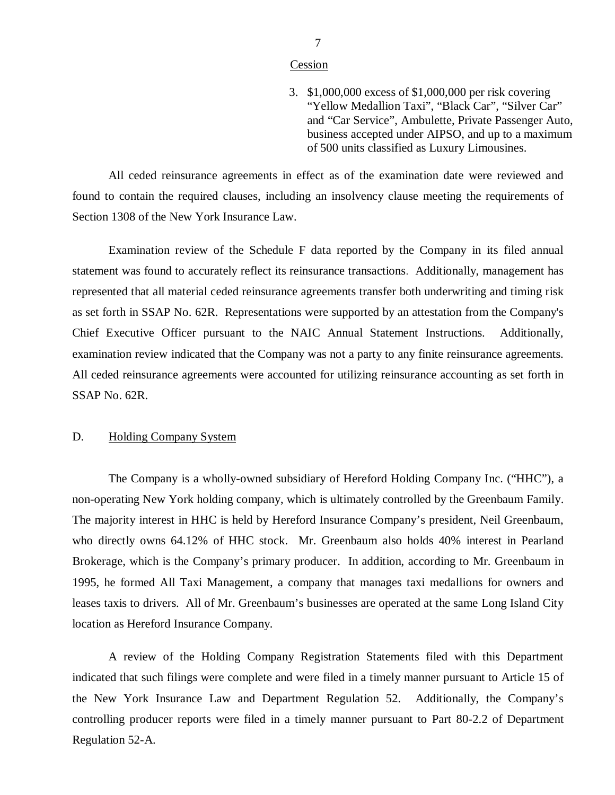### **Cession**

3. \$1,000,000 excess of \$1,000,000 per risk covering "Yellow Medallion Taxi", "Black Car", "Silver Car" and "Car Service", Ambulette, Private Passenger Auto, business accepted under AIPSO, and up to a maximum of 500 units classified as Luxury Limousines.

<span id="page-8-0"></span>All ceded reinsurance agreements in effect as of the examination date were reviewed and found to contain the required clauses, including an insolvency clause meeting the requirements of Section 1308 of the New York Insurance Law.

Examination review of the Schedule F data reported by the Company in its filed annual statement was found to accurately reflect its reinsurance transactions. Additionally, management has represented that all material ceded reinsurance agreements transfer both underwriting and timing risk as set forth in SSAP No. 62R. Representations were supported by an attestation from the Company's Chief Executive Officer pursuant to the NAIC Annual Statement Instructions. Additionally, examination review indicated that the Company was not a party to any finite reinsurance agreements. All ceded reinsurance agreements were accounted for utilizing reinsurance accounting as set forth in SSAP No. 62R.

# D. Holding Company System

The Company is a wholly-owned subsidiary of Hereford Holding Company Inc. ("HHC"), a non-operating New York holding company, which is ultimately controlled by the Greenbaum Family. The majority interest in HHC is held by Hereford Insurance Company's president, Neil Greenbaum, who directly owns 64.12% of HHC stock. Mr. Greenbaum also holds 40% interest in Pearland Brokerage, which is the Company's primary producer. In addition, according to Mr. Greenbaum in 1995, he formed All Taxi Management, a company that manages taxi medallions for owners and leases taxis to drivers. All of Mr. Greenbaum's businesses are operated at the same Long Island City location as Hereford Insurance Company.

A review of the Holding Company Registration Statements filed with this Department indicated that such filings were complete and were filed in a timely manner pursuant to Article 15 of the New York Insurance Law and Department Regulation 52. Additionally, the Company's controlling producer reports were filed in a timely manner pursuant to Part 80-2.2 of Department Regulation 52-A.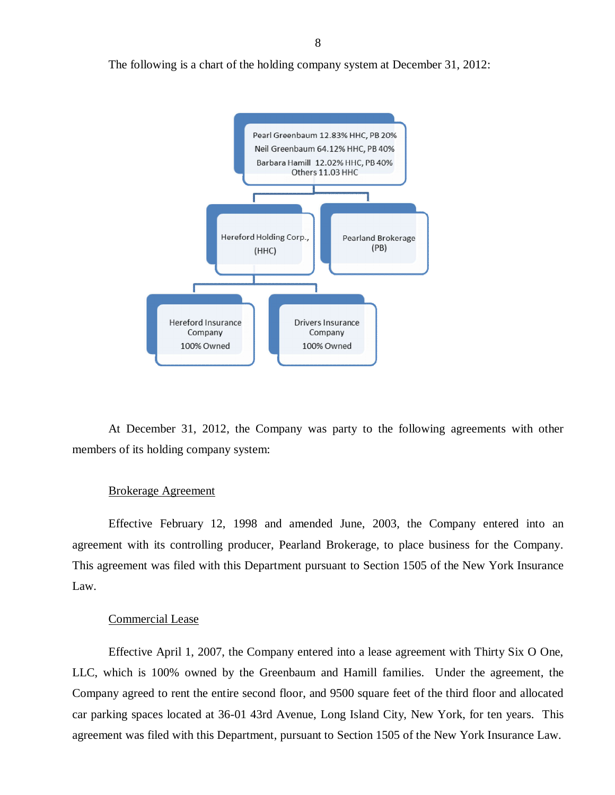The following is a chart of the holding company system at December 31, 2012:



At December 31, 2012, the Company was party to the following agreements with other members of its holding company system:

### Brokerage Agreement

Effective February 12, 1998 and amended June, 2003, the Company entered into an agreement with its controlling producer, Pearland Brokerage, to place business for the Company. This agreement was filed with this Department pursuant to Section 1505 of the New York Insurance Law.

## Commercial Lease

Effective April 1, 2007, the Company entered into a lease agreement with Thirty Six O One, LLC, which is 100% owned by the Greenbaum and Hamill families. Under the agreement, the Company agreed to rent the entire second floor, and 9500 square feet of the third floor and allocated car parking spaces located at 36-01 43rd Avenue, Long Island City, New York, for ten years. This agreement was filed with this Department, pursuant to Section 1505 of the New York Insurance Law.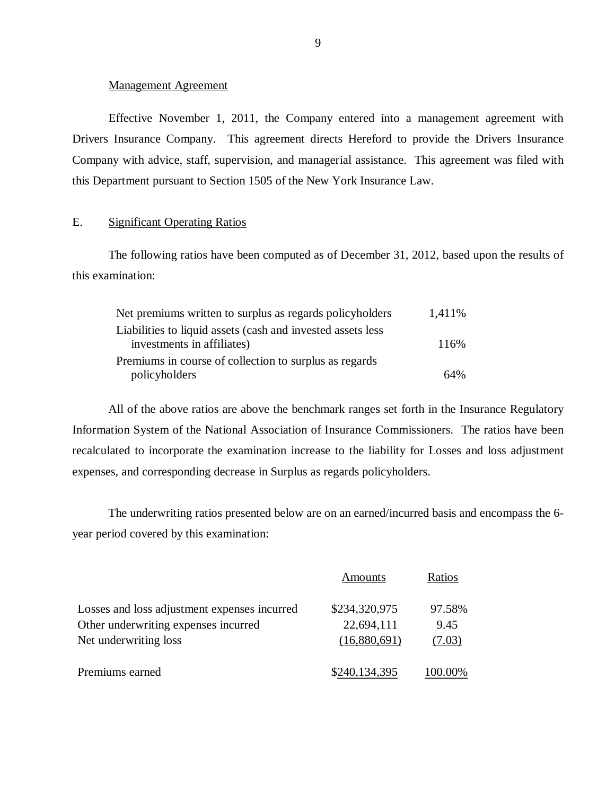### Management Agreement

<span id="page-10-0"></span>Effective November 1, 2011, the Company entered into a management agreement with Drivers Insurance Company. This agreement directs Hereford to provide the Drivers Insurance Company with advice, staff, supervision, and managerial assistance. This agreement was filed with this Department pursuant to Section 1505 of the New York Insurance Law.

# E. Significant Operating Ratios

The following ratios have been computed as of December 31, 2012, based upon the results of this examination:

| Net premiums written to surplus as regards policyholders    | 1,411\% |
|-------------------------------------------------------------|---------|
| Liabilities to liquid assets (cash and invested assets less |         |
| investments in affiliates)                                  | 116%    |
| Premiums in course of collection to surplus as regards      |         |
| policyholders                                               | 64%     |

All of the above ratios are above the benchmark ranges set forth in the Insurance Regulatory Information System of the National Association of Insurance Commissioners. The ratios have been recalculated to incorporate the examination increase to the liability for Losses and loss adjustment expenses, and corresponding decrease in Surplus as regards policyholders.

The underwriting ratios presented below are on an earned/incurred basis and encompass the 6 year period covered by this examination:

|                                              | Amounts       | Ratios           |
|----------------------------------------------|---------------|------------------|
| Losses and loss adjustment expenses incurred | \$234,320,975 | 97.58%           |
| Other underwriting expenses incurred         | 22,694,111    | 9.45             |
| Net underwriting loss                        | (16,880,691)  | (7.03)           |
| Premiums earned                              | \$240,134,395 | ' <u>00</u> .00% |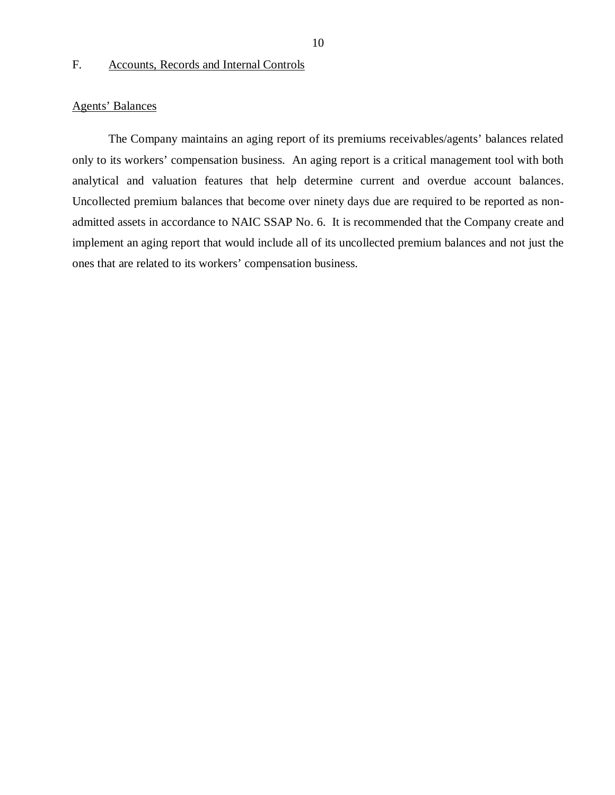## F. Accounts, Records and Internal Controls

## Agents' Balances

The Company maintains an aging report of its premiums receivables/agents' balances related only to its workers' compensation business. An aging report is a critical management tool with both analytical and valuation features that help determine current and overdue account balances. Uncollected premium balances that become over ninety days due are required to be reported as nonadmitted assets in accordance to NAIC SSAP No. 6. It is recommended that the Company create and implement an aging report that would include all of its uncollected premium balances and not just the ones that are related to its workers' compensation business.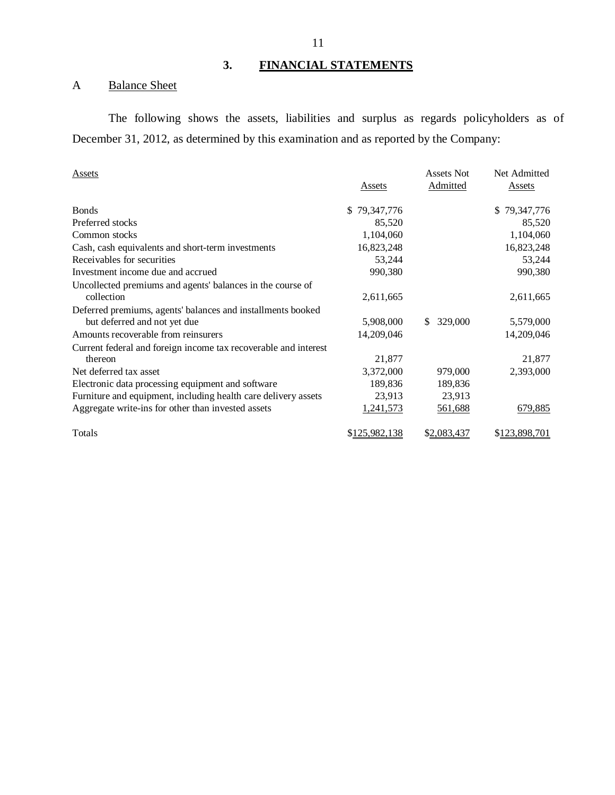# **3. FINANCIAL STATEMENTS**

# A Balance Sheet

The following shows the assets, liabilities and surplus as regards policyholders as of December 31, 2012, as determined by this examination and as reported by the Company:

| <b>Assets</b>                                                   |               | <b>Assets Not</b> | Net Admitted  |
|-----------------------------------------------------------------|---------------|-------------------|---------------|
|                                                                 | Assets        | Admitted          | Assets        |
| <b>Bonds</b>                                                    | \$79,347,776  |                   | \$79,347,776  |
| Preferred stocks                                                | 85,520        |                   | 85,520        |
| Common stocks                                                   | 1,104,060     |                   | 1,104,060     |
| Cash, cash equivalents and short-term investments               | 16,823,248    |                   | 16,823,248    |
| Receivables for securities                                      | 53,244        |                   | 53,244        |
| Investment income due and accrued                               | 990,380       |                   | 990,380       |
| Uncollected premiums and agents' balances in the course of      |               |                   |               |
| collection                                                      | 2,611,665     |                   | 2,611,665     |
| Deferred premiums, agents' balances and installments booked     |               |                   |               |
| but deferred and not yet due                                    | 5,908,000     | 329,000<br>\$.    | 5,579,000     |
| Amounts recoverable from reinsurers                             | 14,209,046    |                   | 14,209,046    |
| Current federal and foreign income tax recoverable and interest |               |                   |               |
| thereon                                                         | 21,877        |                   | 21,877        |
| Net deferred tax asset                                          | 3,372,000     | 979,000           | 2,393,000     |
| Electronic data processing equipment and software               | 189,836       | 189,836           |               |
| Furniture and equipment, including health care delivery assets  | 23,913        | 23,913            |               |
| Aggregate write-ins for other than invested assets              | 1,241,573     | 561,688           | 679,885       |
| Totals                                                          | \$125,982,138 | \$2,083,437       | \$123,898,701 |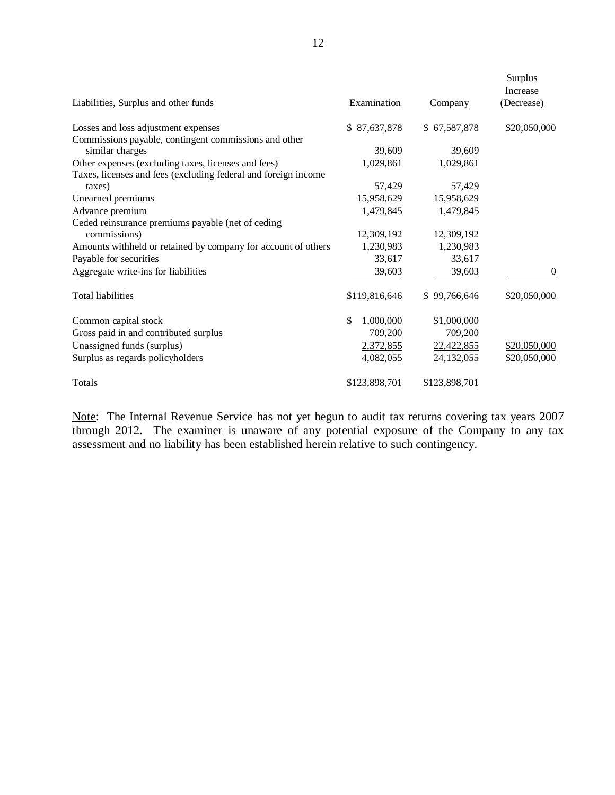| Liabilities, Surplus and other funds                           | Examination     | Company       | Surplus<br>Increase<br>(Decrease) |
|----------------------------------------------------------------|-----------------|---------------|-----------------------------------|
| Losses and loss adjustment expenses                            | \$87,637,878    | \$67,587,878  | \$20,050,000                      |
| Commissions payable, contingent commissions and other          |                 |               |                                   |
| similar charges                                                | 39,609          | 39,609        |                                   |
| Other expenses (excluding taxes, licenses and fees)            | 1,029,861       | 1,029,861     |                                   |
| Taxes, licenses and fees (excluding federal and foreign income |                 |               |                                   |
| taxes)                                                         | 57,429          | 57,429        |                                   |
| Unearned premiums                                              | 15,958,629      | 15,958,629    |                                   |
| Advance premium                                                | 1,479,845       | 1,479,845     |                                   |
| Ceded reinsurance premiums payable (net of ceding              |                 |               |                                   |
| commissions)                                                   | 12,309,192      | 12,309,192    |                                   |
| Amounts withheld or retained by company for account of others  | 1,230,983       | 1,230,983     |                                   |
| Payable for securities                                         | 33,617          | 33,617        |                                   |
| Aggregate write-ins for liabilities                            | 39,603          | 39,603        | 0                                 |
| <b>Total liabilities</b>                                       | \$119,816,646   | \$99,766,646  | \$20,050,000                      |
| Common capital stock                                           | 1,000,000<br>\$ | \$1,000,000   |                                   |
| Gross paid in and contributed surplus                          | 709,200         | 709,200       |                                   |
| Unassigned funds (surplus)                                     | 2,372,855       | 22,422,855    | \$20,050,000                      |
| Surplus as regards policyholders                               | 4,082,055       | 24,132,055    | \$20,050,000                      |
| Totals                                                         | \$123,898,701   | \$123,898,701 |                                   |

Note: The Internal Revenue Service has not yet begun to audit tax returns covering tax years 2007 through 2012. The examiner is unaware of any potential exposure of the Company to any tax assessment and no liability has been established herein relative to such contingency.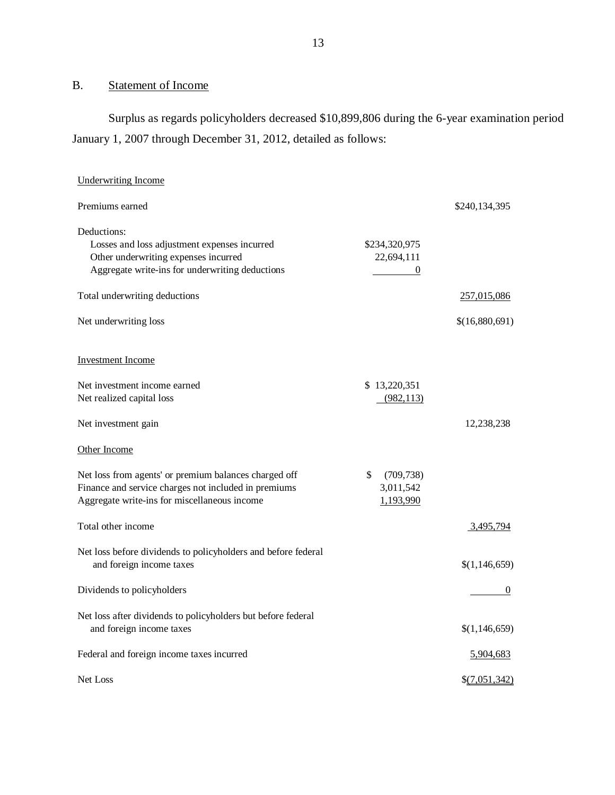# B. Statement of Income

Surplus as regards policyholders decreased \$10,899,806 during the 6-year examination period January 1, 2007 through December 31, 2012, detailed as follows:

| <b>Underwriting Income</b>                                    |                                            |                 |
|---------------------------------------------------------------|--------------------------------------------|-----------------|
| Premiums earned                                               |                                            | \$240,134,395   |
| Deductions:                                                   |                                            |                 |
| Losses and loss adjustment expenses incurred                  | \$234,320,975                              |                 |
| Other underwriting expenses incurred                          | 22,694,111                                 |                 |
| Aggregate write-ins for underwriting deductions               | $\overline{0}$<br>$\overline{\phantom{a}}$ |                 |
| Total underwriting deductions                                 |                                            | 257,015,086     |
| Net underwriting loss                                         |                                            | \$(16,880,691)  |
| <b>Investment Income</b>                                      |                                            |                 |
| Net investment income earned                                  | \$13,220,351                               |                 |
| Net realized capital loss                                     | (982, 113)                                 |                 |
|                                                               |                                            |                 |
| Net investment gain                                           |                                            | 12,238,238      |
| Other Income                                                  |                                            |                 |
| Net loss from agents' or premium balances charged off         | \$<br>(709, 738)                           |                 |
| Finance and service charges not included in premiums          | 3,011,542                                  |                 |
| Aggregate write-ins for miscellaneous income                  | 1,193,990                                  |                 |
|                                                               |                                            |                 |
| Total other income                                            |                                            | 3,495,794       |
| Net loss before dividends to policyholders and before federal |                                            |                 |
| and foreign income taxes                                      |                                            | \$(1,146,659)   |
|                                                               |                                            |                 |
| Dividends to policyholders                                    |                                            | $\theta$        |
| Net loss after dividends to policyholders but before federal  |                                            |                 |
| and foreign income taxes                                      |                                            | \$(1,146,659)   |
| Federal and foreign income taxes incurred                     |                                            | 5,904,683       |
|                                                               |                                            |                 |
| Net Loss                                                      |                                            | $\S(7,051,342)$ |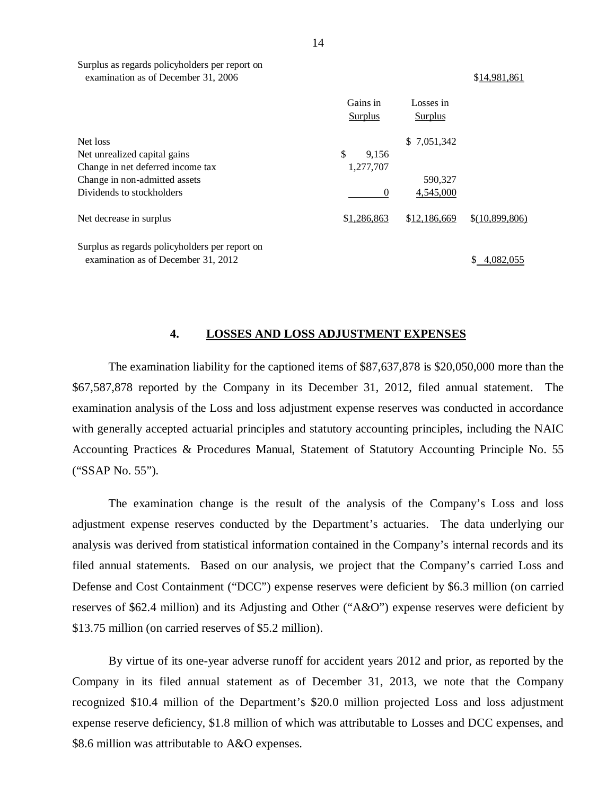|                                                                                       | Gains in<br>Surplus | Losses in<br>Surplus |                |
|---------------------------------------------------------------------------------------|---------------------|----------------------|----------------|
| Net loss                                                                              |                     | \$7,051,342          |                |
| Net unrealized capital gains                                                          | \$<br>9,156         |                      |                |
| Change in net deferred income tax                                                     | 1,277,707           |                      |                |
| Change in non-admitted assets                                                         |                     | 590,327              |                |
| Dividends to stockholders                                                             | 0                   | 4.545,000            |                |
| Net decrease in surplus                                                               | \$1,286,863         | \$12,186,669         | \$(10,899,806) |
| Surplus as regards policyholders per report on<br>examination as of December 31, 2012 |                     |                      | 4.082.055      |

### **4. LOSSES AND LOSS ADJUSTMENT EXPENSES**

The examination liability for the captioned items of \$87,637,878 is \$20,050,000 more than the \$67,587,878 reported by the Company in its December 31, 2012, filed annual statement. The examination analysis of the Loss and loss adjustment expense reserves was conducted in accordance with generally accepted actuarial principles and statutory accounting principles, including the NAIC Accounting Practices & Procedures Manual, Statement of Statutory Accounting Principle No. 55 ("SSAP No. 55").

The examination change is the result of the analysis of the Company's Loss and loss adjustment expense reserves conducted by the Department's actuaries. The data underlying our analysis was derived from statistical information contained in the Company's internal records and its filed annual statements. Based on our analysis, we project that the Company's carried Loss and Defense and Cost Containment ("DCC") expense reserves were deficient by \$6.3 million (on carried reserves of \$62.4 million) and its Adjusting and Other ("A&O") expense reserves were deficient by \$13.75 million (on carried reserves of \$5.2 million).

By virtue of its one-year adverse runoff for accident years 2012 and prior, as reported by the Company in its filed annual statement as of December 31, 2013, we note that the Company recognized \$10.4 million of the Department's \$20.0 million projected Loss and loss adjustment expense reserve deficiency, \$1.8 million of which was attributable to Losses and DCC expenses, and \$8.6 million was attributable to A&O expenses.

examination as of December 31, 2006 \$14,981,861

Surplus as regards policyholders per report on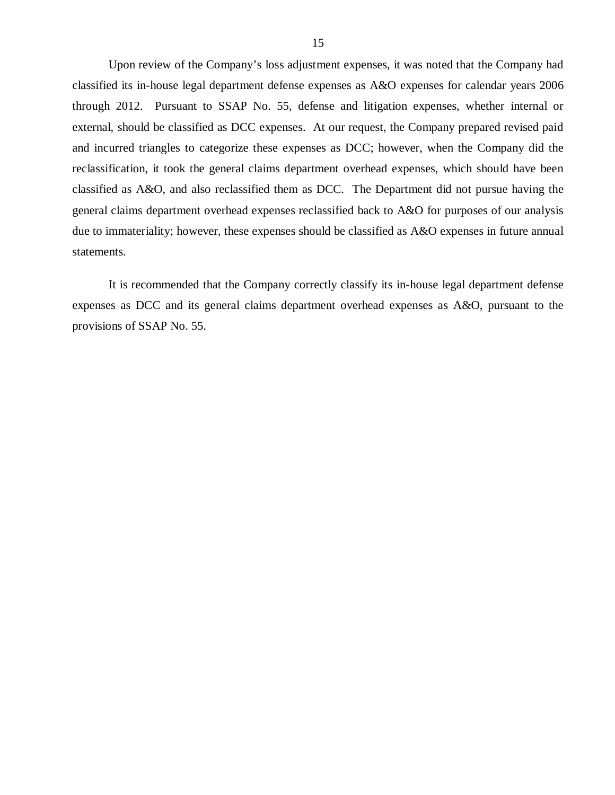<span id="page-16-0"></span>Upon review of the Company's loss adjustment expenses, it was noted that the Company had classified its in-house legal department defense expenses as A&O expenses for calendar years 2006 through 2012. Pursuant to SSAP No. 55, defense and litigation expenses, whether internal or external, should be classified as DCC expenses. At our request, the Company prepared revised paid and incurred triangles to categorize these expenses as DCC; however, when the Company did the reclassification, it took the general claims department overhead expenses, which should have been classified as A&O, and also reclassified them as DCC. The Department did not pursue having the general claims department overhead expenses reclassified back to A&O for purposes of our analysis due to immateriality; however, these expenses should be classified as A&O expenses in future annual statements.

It is recommended that the Company correctly classify its in-house legal department defense expenses as DCC and its general claims department overhead expenses as A&O, pursuant to the provisions of SSAP No. 55.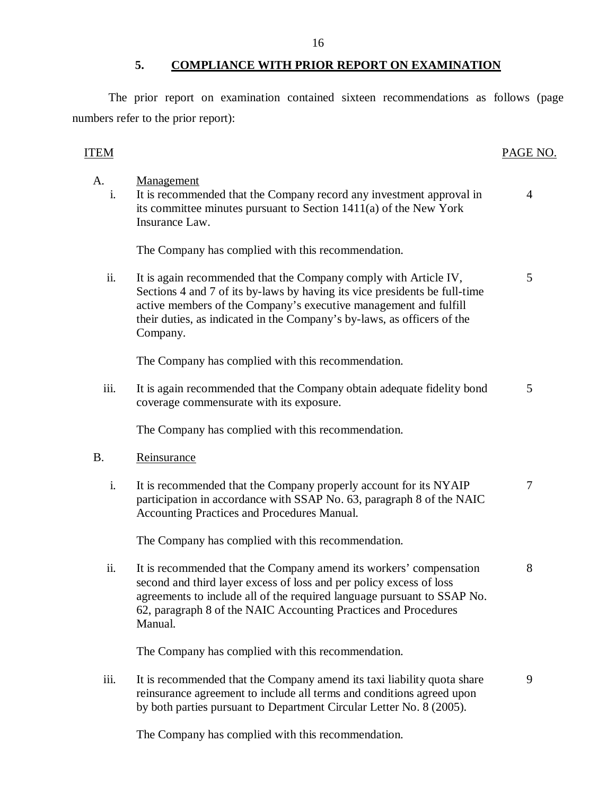The prior report on examination contained sixteen recommendations as follows (page numbers refer to the prior report):

# ITEM PAGE NO.

| A.<br>i.  | <b>Management</b><br>It is recommended that the Company record any investment approval in<br>its committee minutes pursuant to Section 1411(a) of the New York<br>Insurance Law.                                                                                                                          | 4 |
|-----------|-----------------------------------------------------------------------------------------------------------------------------------------------------------------------------------------------------------------------------------------------------------------------------------------------------------|---|
|           | The Company has complied with this recommendation.                                                                                                                                                                                                                                                        |   |
| ii.       | It is again recommended that the Company comply with Article IV,<br>Sections 4 and 7 of its by-laws by having its vice presidents be full-time<br>active members of the Company's executive management and fulfill<br>their duties, as indicated in the Company's by-laws, as officers of the<br>Company. | 5 |
|           | The Company has complied with this recommendation.                                                                                                                                                                                                                                                        |   |
| iii.      | It is again recommended that the Company obtain adequate fidelity bond<br>coverage commensurate with its exposure.                                                                                                                                                                                        | 5 |
|           | The Company has complied with this recommendation.                                                                                                                                                                                                                                                        |   |
| <b>B.</b> | Reinsurance                                                                                                                                                                                                                                                                                               |   |
| i.        | It is recommended that the Company properly account for its NYAIP<br>participation in accordance with SSAP No. 63, paragraph 8 of the NAIC<br>Accounting Practices and Procedures Manual.                                                                                                                 | 7 |
|           | The Company has complied with this recommendation.                                                                                                                                                                                                                                                        |   |
| ii.       | It is recommended that the Company amend its workers' compensation<br>second and third layer excess of loss and per policy excess of loss<br>agreements to include all of the required language pursuant to SSAP No.<br>62, paragraph 8 of the NAIC Accounting Practices and Procedures<br>Manual.        | 8 |
|           | The Company has complied with this recommendation.                                                                                                                                                                                                                                                        |   |
| iii.      | It is recommended that the Company amend its taxi liability quota share<br>reinsurance agreement to include all terms and conditions agreed upon<br>by both parties pursuant to Department Circular Letter No. 8 (2005).                                                                                  | 9 |

The Company has complied with this recommendation.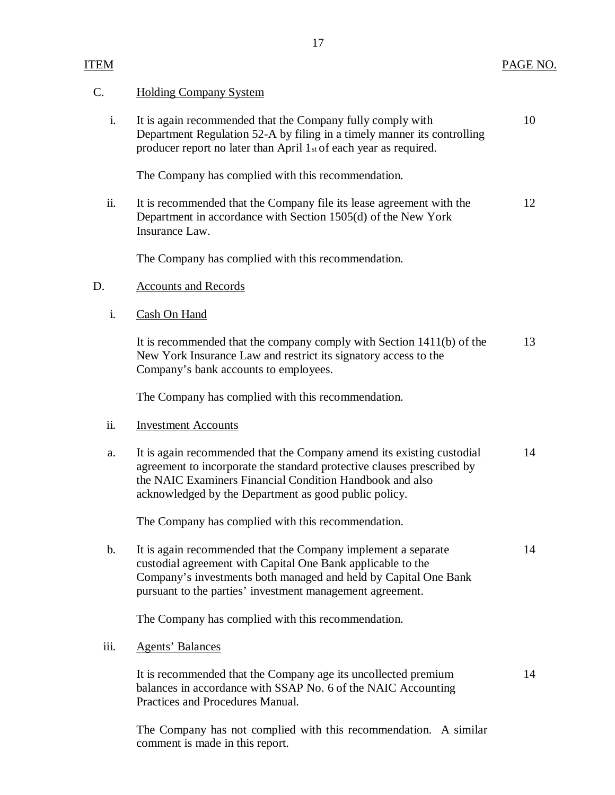## C. Holding Company System

i. It is again recommended that the Company fully comply with 10 Department Regulation 52-A by filing in a timely manner its controlling producer report no later than April 1st of each year as required.

The Company has complied with this recommendation.

ii. It is recommended that the Company file its lease agreement with the 12 Department in accordance with Section 1505(d) of the New York Insurance Law.

The Company has complied with this recommendation.

## D. Accounts and Records

i. Cash On Hand

It is recommended that the company comply with Section 1411(b) of the 13 New York Insurance Law and restrict its signatory access to the Company's bank accounts to employees.

The Company has complied with this recommendation.

### ii. **Investment Accounts**

a. It is again recommended that the Company amend its existing custodial 14 agreement to incorporate the standard protective clauses prescribed by the NAIC Examiners Financial Condition Handbook and also acknowledged by the Department as good public policy.

The Company has complied with this recommendation.

b. It is again recommended that the Company implement a separate 14 custodial agreement with Capital One Bank applicable to the Company's investments both managed and held by Capital One Bank pursuant to the parties' investment management agreement.

The Company has complied with this recommendation.

## iii. Agents' Balances

It is recommended that the Company age its uncollected premium 14 balances in accordance with SSAP No. 6 of the NAIC Accounting Practices and Procedures Manual.

The Company has not complied with this recommendation. A similar comment is made in this report.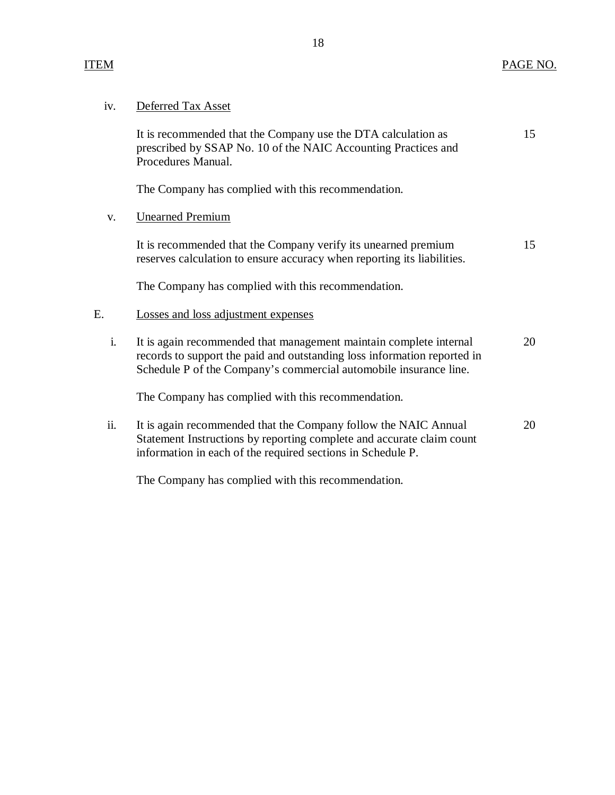| 1V. | Deferred Tax Asset |  |
|-----|--------------------|--|
|     |                    |  |

It is recommended that the Company use the DTA calculation as 15 prescribed by SSAP No. 10 of the NAIC Accounting Practices and Procedures Manual.

The Company has complied with this recommendation.

v. Unearned Premium

It is recommended that the Company verify its unearned premium 15 reserves calculation to ensure accuracy when reporting its liabilities.

The Company has complied with this recommendation.

## E. Losses and loss adjustment expenses

i. It is again recommended that management maintain complete internal 20 records to support the paid and outstanding loss information reported in Schedule P of the Company's commercial automobile insurance line.

The Company has complied with this recommendation.

ii. It is again recommended that the Company follow the NAIC Annual 20 Statement Instructions by reporting complete and accurate claim count information in each of the required sections in Schedule P.

The Company has complied with this recommendation.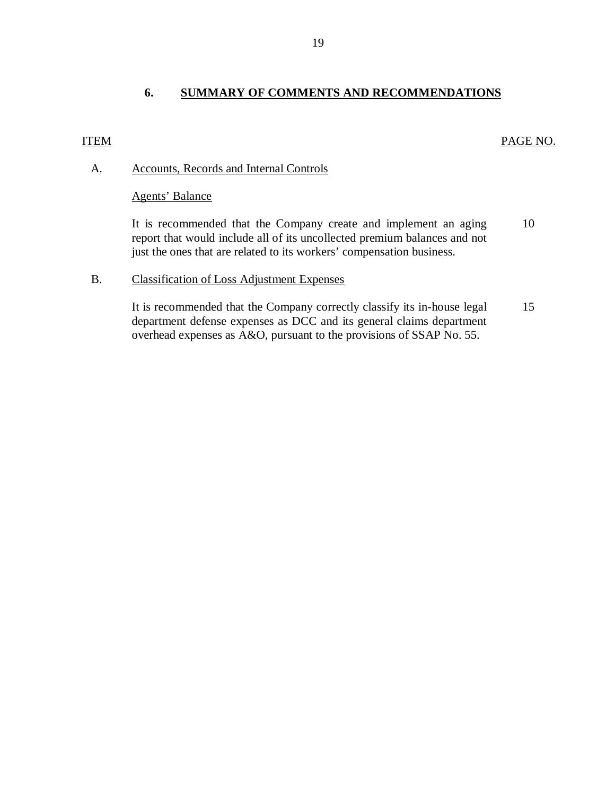# **6. SUMMARY OF COMMENTS AND RECOMMENDATIONS**

## <span id="page-20-0"></span>ITEM PAGE NO.

# A. Accounts, Records and Internal Controls

## Agents' Balance

It is recommended that the Company create and implement an aging 10 report that would include all of its uncollected premium balances and not just the ones that are related to its workers' compensation business.

## B. Classification of Loss Adjustment Expenses

It is recommended that the Company correctly classify its in-house legal 15 department defense expenses as DCC and its general claims department overhead expenses as A&O, pursuant to the provisions of SSAP No. 55.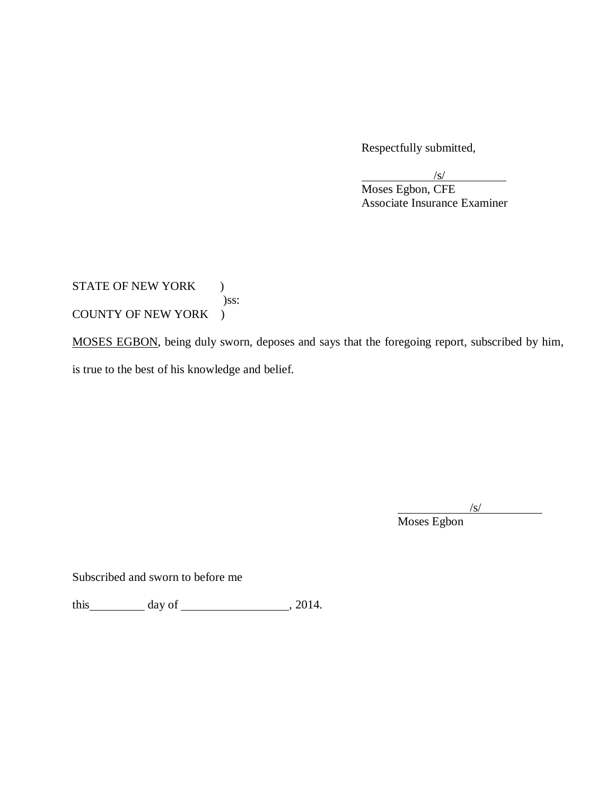Respectfully submitted,

/s/

Moses Egbon, CFE Associate Insurance Examiner

STATE OF NEW YORK ) )ss: COUNTY OF NEW YORK )

MOSES EGBON, being duly sworn, deposes and says that the foregoing report, subscribed by him, is true to the best of his knowledge and belief.

Moses Egbon

/s/

Subscribed and sworn to before me

this  $\_\_\_\_\_\$  day of  $\_\_\_\_\_\_\$ , 2014.